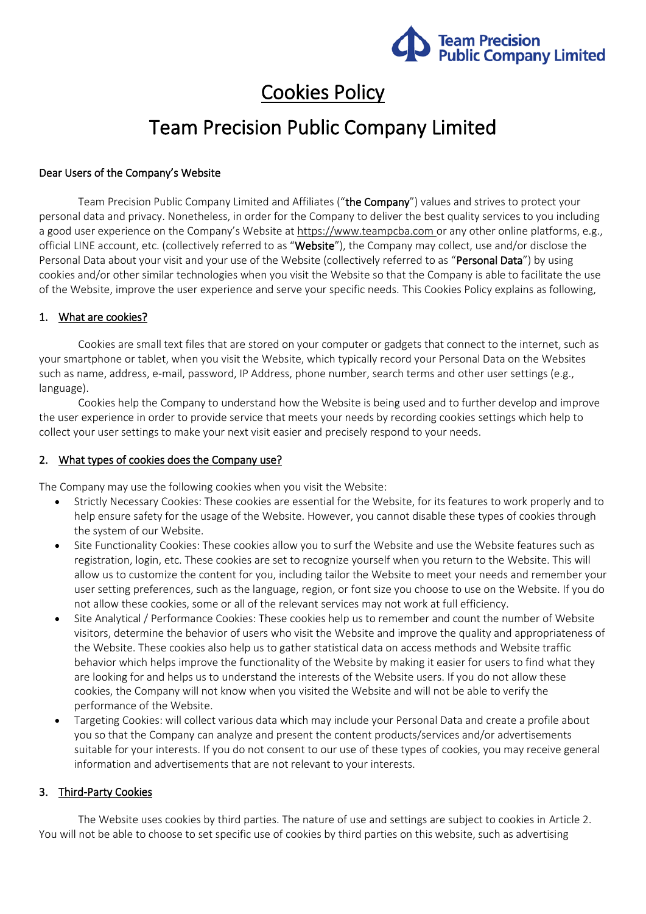

# Cookies Policy

# Team Precision Public Company Limited

## Dear Users of the Company's Website

Team Precision Public Company Limited and Affiliates ("the Company") values and strives to protect your personal data and privacy. Nonetheless, in order for the Company to deliver the best quality services to you including a good user experience on the Company's Website at [https://www.teampcba.com](https://www.teampcba.com/) or any other online platforms, e.g., official LINE account, etc. (collectively referred to as "Website"), the Company may collect, use and/or disclose the Personal Data about your visit and your use of the Website (collectively referred to as "Personal Data") by using cookies and/or other similar technologies when you visit the Website so that the Company is able to facilitate the use of the Website, improve the user experience and serve your specific needs. This Cookies Policy explains as following,

## 1. What are cookies?

Cookies are small text files that are stored on your computer or gadgets that connect to the internet, such as your smartphone or tablet, when you visit the Website, which typically record your Personal Data on the Websites such as name, address, e-mail, password, IP Address, phone number, search terms and other user settings (e.g., language).

Cookies help the Company to understand how the Website is being used and to further develop and improve the user experience in order to provide service that meets your needs by recording cookies settings which help to collect your user settings to make your next visit easier and precisely respond to your needs.

#### 2. What types of cookies does the Company use?

The Company may use the following cookies when you visit the Website:

- Strictly Necessary Cookies: These cookies are essential for the Website, for its features to work properly and to help ensure safety for the usage of the Website. However, you cannot disable these types of cookies through the system of our Website.
- Site Functionality Cookies: These cookies allow you to surf the Website and use the Website features such as registration, login, etc. These cookies are set to recognize yourself when you return to the Website. This will allow us to customize the content for you, including tailor the Website to meet your needs and remember your user setting preferences, such as the language, region, or font size you choose to use on the Website. If you do not allow these cookies, some or all of the relevant services may not work at full efficiency.
- Site Analytical / Performance Cookies: These cookies help us to remember and count the number of Website visitors, determine the behavior of users who visit the Website and improve the quality and appropriateness of the Website. These cookies also help us to gather statistical data on access methods and Website traffic behavior which helps improve the functionality of the Website by making it easier for users to find what they are looking for and helps us to understand the interests of the Website users. If you do not allow these cookies, the Company will not know when you visited the Website and will not be able to verify the performance of the Website.
- Targeting Cookies: will collect various data which may include your Personal Data and create a profile about you so that the Company can analyze and present the content products/services and/or advertisements suitable for your interests. If you do not consent to our use of these types of cookies, you may receive general information and advertisements that are not relevant to your interests.

## 3. Third-Party Cookies

The Website uses cookies by third parties. The nature of use and settings are subject to cookies in Article 2. You will not be able to choose to set specific use of cookies by third parties on this website, such as advertising